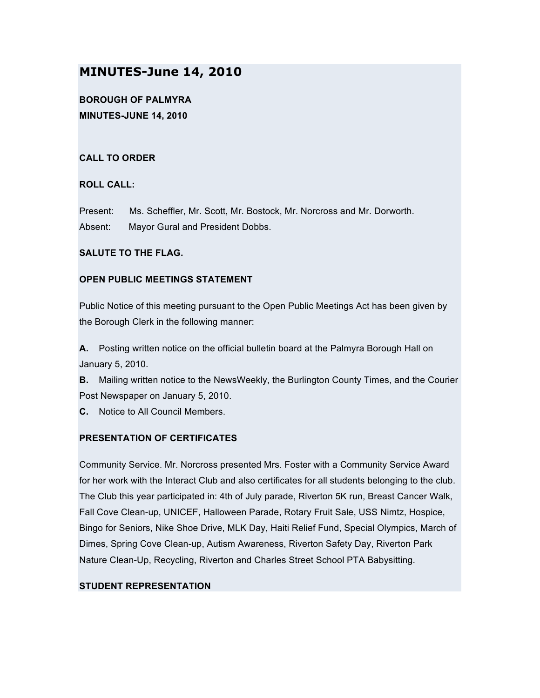# **MINUTES-June 14, 2010**

**BOROUGH OF PALMYRA MINUTES-JUNE 14, 2010**

# **CALL TO ORDER**

## **ROLL CALL:**

Present: Ms. Scheffler, Mr. Scott, Mr. Bostock, Mr. Norcross and Mr. Dorworth. Absent: Mayor Gural and President Dobbs.

## **SALUTE TO THE FLAG.**

## **OPEN PUBLIC MEETINGS STATEMENT**

Public Notice of this meeting pursuant to the Open Public Meetings Act has been given by the Borough Clerk in the following manner:

**A.** Posting written notice on the official bulletin board at the Palmyra Borough Hall on January 5, 2010.

**B.** Mailing written notice to the NewsWeekly, the Burlington County Times, and the Courier Post Newspaper on January 5, 2010.

**C.** Notice to All Council Members.

# **PRESENTATION OF CERTIFICATES**

Community Service. Mr. Norcross presented Mrs. Foster with a Community Service Award for her work with the Interact Club and also certificates for all students belonging to the club. The Club this year participated in: 4th of July parade, Riverton 5K run, Breast Cancer Walk, Fall Cove Clean-up, UNICEF, Halloween Parade, Rotary Fruit Sale, USS Nimtz, Hospice, Bingo for Seniors, Nike Shoe Drive, MLK Day, Haiti Relief Fund, Special Olympics, March of Dimes, Spring Cove Clean-up, Autism Awareness, Riverton Safety Day, Riverton Park Nature Clean-Up, Recycling, Riverton and Charles Street School PTA Babysitting.

# **STUDENT REPRESENTATION**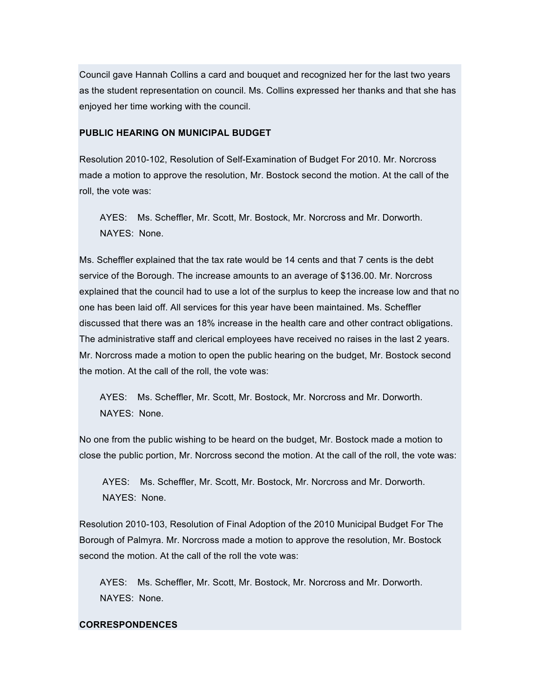Council gave Hannah Collins a card and bouquet and recognized her for the last two years as the student representation on council. Ms. Collins expressed her thanks and that she has enjoyed her time working with the council.

## **PUBLIC HEARING ON MUNICIPAL BUDGET**

Resolution 2010-102, Resolution of Self-Examination of Budget For 2010. Mr. Norcross made a motion to approve the resolution, Mr. Bostock second the motion. At the call of the roll, the vote was:

AYES: Ms. Scheffler, Mr. Scott, Mr. Bostock, Mr. Norcross and Mr. Dorworth. NAYES: None.

Ms. Scheffler explained that the tax rate would be 14 cents and that 7 cents is the debt service of the Borough. The increase amounts to an average of \$136.00. Mr. Norcross explained that the council had to use a lot of the surplus to keep the increase low and that no one has been laid off. All services for this year have been maintained. Ms. Scheffler discussed that there was an 18% increase in the health care and other contract obligations. The administrative staff and clerical employees have received no raises in the last 2 years. Mr. Norcross made a motion to open the public hearing on the budget, Mr. Bostock second the motion. At the call of the roll, the vote was:

AYES: Ms. Scheffler, Mr. Scott, Mr. Bostock, Mr. Norcross and Mr. Dorworth. NAYES: None.

No one from the public wishing to be heard on the budget, Mr. Bostock made a motion to close the public portion, Mr. Norcross second the motion. At the call of the roll, the vote was:

AYES: Ms. Scheffler, Mr. Scott, Mr. Bostock, Mr. Norcross and Mr. Dorworth. NAYES: None.

Resolution 2010-103, Resolution of Final Adoption of the 2010 Municipal Budget For The Borough of Palmyra. Mr. Norcross made a motion to approve the resolution, Mr. Bostock second the motion. At the call of the roll the vote was:

AYES: Ms. Scheffler, Mr. Scott, Mr. Bostock, Mr. Norcross and Mr. Dorworth. NAYES: None.

### **CORRESPONDENCES**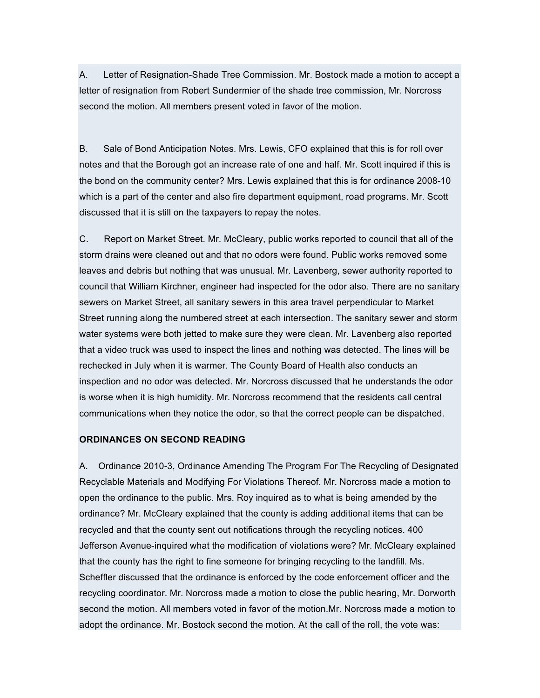A. Letter of Resignation-Shade Tree Commission. Mr. Bostock made a motion to accept a letter of resignation from Robert Sundermier of the shade tree commission, Mr. Norcross second the motion. All members present voted in favor of the motion.

B. Sale of Bond Anticipation Notes. Mrs. Lewis, CFO explained that this is for roll over notes and that the Borough got an increase rate of one and half. Mr. Scott inquired if this is the bond on the community center? Mrs. Lewis explained that this is for ordinance 2008-10 which is a part of the center and also fire department equipment, road programs. Mr. Scott discussed that it is still on the taxpayers to repay the notes.

C. Report on Market Street. Mr. McCleary, public works reported to council that all of the storm drains were cleaned out and that no odors were found. Public works removed some leaves and debris but nothing that was unusual. Mr. Lavenberg, sewer authority reported to council that William Kirchner, engineer had inspected for the odor also. There are no sanitary sewers on Market Street, all sanitary sewers in this area travel perpendicular to Market Street running along the numbered street at each intersection. The sanitary sewer and storm water systems were both jetted to make sure they were clean. Mr. Lavenberg also reported that a video truck was used to inspect the lines and nothing was detected. The lines will be rechecked in July when it is warmer. The County Board of Health also conducts an inspection and no odor was detected. Mr. Norcross discussed that he understands the odor is worse when it is high humidity. Mr. Norcross recommend that the residents call central communications when they notice the odor, so that the correct people can be dispatched.

#### **ORDINANCES ON SECOND READING**

A. Ordinance 2010-3, Ordinance Amending The Program For The Recycling of Designated Recyclable Materials and Modifying For Violations Thereof. Mr. Norcross made a motion to open the ordinance to the public. Mrs. Roy inquired as to what is being amended by the ordinance? Mr. McCleary explained that the county is adding additional items that can be recycled and that the county sent out notifications through the recycling notices. 400 Jefferson Avenue-inquired what the modification of violations were? Mr. McCleary explained that the county has the right to fine someone for bringing recycling to the landfill. Ms. Scheffler discussed that the ordinance is enforced by the code enforcement officer and the recycling coordinator. Mr. Norcross made a motion to close the public hearing, Mr. Dorworth second the motion. All members voted in favor of the motion.Mr. Norcross made a motion to adopt the ordinance. Mr. Bostock second the motion. At the call of the roll, the vote was: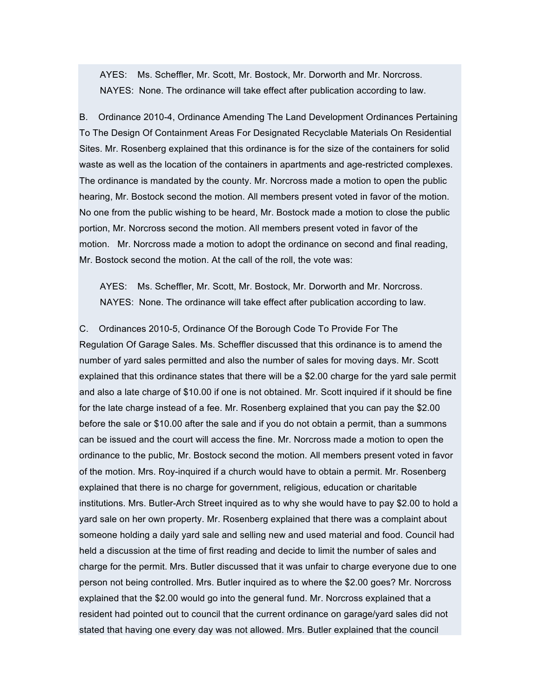AYES: Ms. Scheffler, Mr. Scott, Mr. Bostock, Mr. Dorworth and Mr. Norcross. NAYES: None. The ordinance will take effect after publication according to law.

B. Ordinance 2010-4, Ordinance Amending The Land Development Ordinances Pertaining To The Design Of Containment Areas For Designated Recyclable Materials On Residential Sites. Mr. Rosenberg explained that this ordinance is for the size of the containers for solid waste as well as the location of the containers in apartments and age-restricted complexes. The ordinance is mandated by the county. Mr. Norcross made a motion to open the public hearing, Mr. Bostock second the motion. All members present voted in favor of the motion. No one from the public wishing to be heard, Mr. Bostock made a motion to close the public portion, Mr. Norcross second the motion. All members present voted in favor of the motion. Mr. Norcross made a motion to adopt the ordinance on second and final reading, Mr. Bostock second the motion. At the call of the roll, the vote was:

AYES: Ms. Scheffler, Mr. Scott, Mr. Bostock, Mr. Dorworth and Mr. Norcross. NAYES: None. The ordinance will take effect after publication according to law.

C. Ordinances 2010-5, Ordinance Of the Borough Code To Provide For The Regulation Of Garage Sales. Ms. Scheffler discussed that this ordinance is to amend the number of yard sales permitted and also the number of sales for moving days. Mr. Scott explained that this ordinance states that there will be a \$2.00 charge for the yard sale permit and also a late charge of \$10.00 if one is not obtained. Mr. Scott inquired if it should be fine for the late charge instead of a fee. Mr. Rosenberg explained that you can pay the \$2.00 before the sale or \$10.00 after the sale and if you do not obtain a permit, than a summons can be issued and the court will access the fine. Mr. Norcross made a motion to open the ordinance to the public, Mr. Bostock second the motion. All members present voted in favor of the motion. Mrs. Roy-inquired if a church would have to obtain a permit. Mr. Rosenberg explained that there is no charge for government, religious, education or charitable institutions. Mrs. Butler-Arch Street inquired as to why she would have to pay \$2.00 to hold a yard sale on her own property. Mr. Rosenberg explained that there was a complaint about someone holding a daily yard sale and selling new and used material and food. Council had held a discussion at the time of first reading and decide to limit the number of sales and charge for the permit. Mrs. Butler discussed that it was unfair to charge everyone due to one person not being controlled. Mrs. Butler inquired as to where the \$2.00 goes? Mr. Norcross explained that the \$2.00 would go into the general fund. Mr. Norcross explained that a resident had pointed out to council that the current ordinance on garage/yard sales did not stated that having one every day was not allowed. Mrs. Butler explained that the council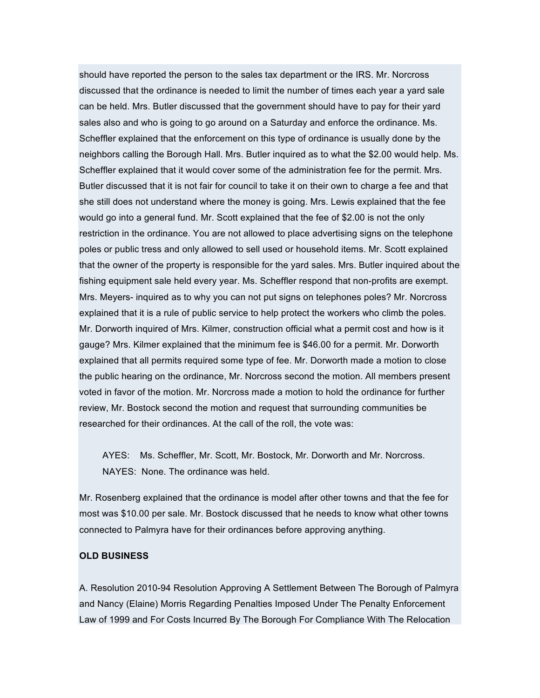should have reported the person to the sales tax department or the IRS. Mr. Norcross discussed that the ordinance is needed to limit the number of times each year a yard sale can be held. Mrs. Butler discussed that the government should have to pay for their yard sales also and who is going to go around on a Saturday and enforce the ordinance. Ms. Scheffler explained that the enforcement on this type of ordinance is usually done by the neighbors calling the Borough Hall. Mrs. Butler inquired as to what the \$2.00 would help. Ms. Scheffler explained that it would cover some of the administration fee for the permit. Mrs. Butler discussed that it is not fair for council to take it on their own to charge a fee and that she still does not understand where the money is going. Mrs. Lewis explained that the fee would go into a general fund. Mr. Scott explained that the fee of \$2.00 is not the only restriction in the ordinance. You are not allowed to place advertising signs on the telephone poles or public tress and only allowed to sell used or household items. Mr. Scott explained that the owner of the property is responsible for the yard sales. Mrs. Butler inquired about the fishing equipment sale held every year. Ms. Scheffler respond that non-profits are exempt. Mrs. Meyers- inquired as to why you can not put signs on telephones poles? Mr. Norcross explained that it is a rule of public service to help protect the workers who climb the poles. Mr. Dorworth inquired of Mrs. Kilmer, construction official what a permit cost and how is it gauge? Mrs. Kilmer explained that the minimum fee is \$46.00 for a permit. Mr. Dorworth explained that all permits required some type of fee. Mr. Dorworth made a motion to close the public hearing on the ordinance, Mr. Norcross second the motion. All members present voted in favor of the motion. Mr. Norcross made a motion to hold the ordinance for further review, Mr. Bostock second the motion and request that surrounding communities be researched for their ordinances. At the call of the roll, the vote was:

AYES: Ms. Scheffler, Mr. Scott, Mr. Bostock, Mr. Dorworth and Mr. Norcross. NAYES: None. The ordinance was held.

Mr. Rosenberg explained that the ordinance is model after other towns and that the fee for most was \$10.00 per sale. Mr. Bostock discussed that he needs to know what other towns connected to Palmyra have for their ordinances before approving anything.

### **OLD BUSINESS**

A. Resolution 2010-94 Resolution Approving A Settlement Between The Borough of Palmyra and Nancy (Elaine) Morris Regarding Penalties Imposed Under The Penalty Enforcement Law of 1999 and For Costs Incurred By The Borough For Compliance With The Relocation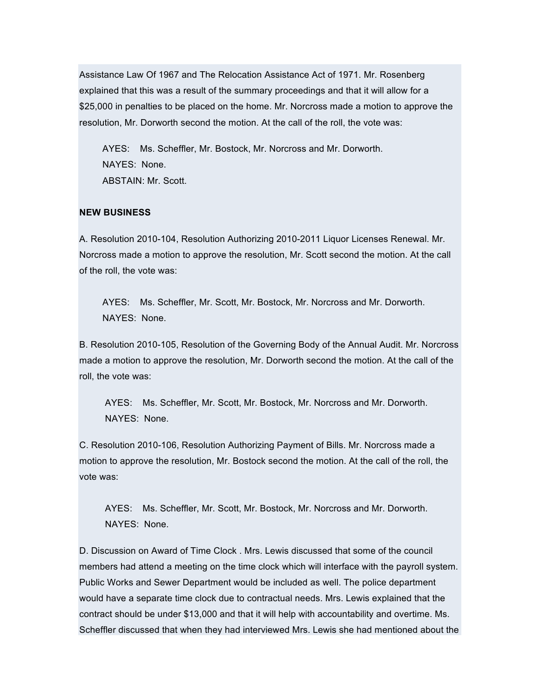Assistance Law Of 1967 and The Relocation Assistance Act of 1971. Mr. Rosenberg explained that this was a result of the summary proceedings and that it will allow for a \$25,000 in penalties to be placed on the home. Mr. Norcross made a motion to approve the resolution, Mr. Dorworth second the motion. At the call of the roll, the vote was:

AYES: Ms. Scheffler, Mr. Bostock, Mr. Norcross and Mr. Dorworth. NAYES: None. ABSTAIN: Mr. Scott.

## **NEW BUSINESS**

A. Resolution 2010-104, Resolution Authorizing 2010-2011 Liquor Licenses Renewal. Mr. Norcross made a motion to approve the resolution, Mr. Scott second the motion. At the call of the roll, the vote was:

AYES: Ms. Scheffler, Mr. Scott, Mr. Bostock, Mr. Norcross and Mr. Dorworth. NAYES: None.

B. Resolution 2010-105, Resolution of the Governing Body of the Annual Audit. Mr. Norcross made a motion to approve the resolution, Mr. Dorworth second the motion. At the call of the roll, the vote was:

AYES: Ms. Scheffler, Mr. Scott, Mr. Bostock, Mr. Norcross and Mr. Dorworth. NAYES: None.

C. Resolution 2010-106, Resolution Authorizing Payment of Bills. Mr. Norcross made a motion to approve the resolution, Mr. Bostock second the motion. At the call of the roll, the vote was:

AYES: Ms. Scheffler, Mr. Scott, Mr. Bostock, Mr. Norcross and Mr. Dorworth. NAYES: None.

D. Discussion on Award of Time Clock . Mrs. Lewis discussed that some of the council members had attend a meeting on the time clock which will interface with the payroll system. Public Works and Sewer Department would be included as well. The police department would have a separate time clock due to contractual needs. Mrs. Lewis explained that the contract should be under \$13,000 and that it will help with accountability and overtime. Ms. Scheffler discussed that when they had interviewed Mrs. Lewis she had mentioned about the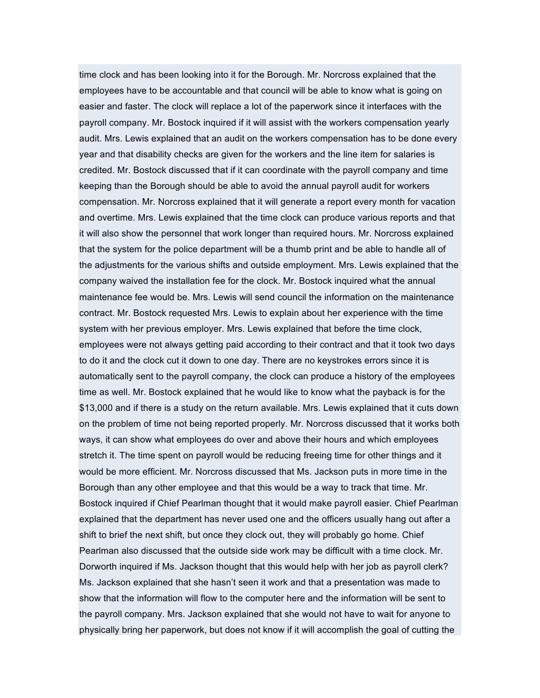time clock and has been looking into it for the Borough. Mr. Norcross explained that the employees have to be accountable and that council will be able to know what is going on easier and faster. The clock will replace a lot of the paperwork since it interfaces with the payroll company. Mr. Bostock inquired if it will assist with the workers compensation yearly audit. Mrs. Lewis explained that an audit on the workers compensation has to be done every year and that disability checks are given for the workers and the line item for salaries is credited. Mr. Bostock discussed that if it can coordinate with the payroll company and time keeping than the Borough should be able to avoid the annual payroll audit for workers compensation. Mr. Norcross explained that it will generate a report every month for vacation and overtime. Mrs. Lewis explained that the time clock can produce various reports and that it will also show the personnel that work longer than required hours. Mr. Norcross explained that the system for the police department will be a thumb print and be able to handle all of the adjustments for the various shifts and outside employment. Mrs. Lewis explained that the company waived the installation fee for the clock. Mr. Bostock inquired what the annual maintenance fee would be. Mrs. Lewis will send council the information on the maintenance contract. Mr. Bostock requested Mrs. Lewis to explain about her experience with the time system with her previous employer. Mrs. Lewis explained that before the time clock, employees were not always getting paid according to their contract and that it took two days to do it and the clock cut it down to one day. There are no keystrokes errors since it is automatically sent to the payroll company, the clock can produce a history of the employees time as well. Mr. Bostock explained that he would like to know what the payback is for the \$13,000 and if there is a study on the return available. Mrs. Lewis explained that it cuts down on the problem of time not being reported properly. Mr. Norcross discussed that it works both ways, it can show what employees do over and above their hours and which employees stretch it. The time spent on payroll would be reducing freeing time for other things and it would be more efficient. Mr. Norcross discussed that Ms. Jackson puts in more time in the Borough than any other employee and that this would be a way to track that time. Mr. Bostock inquired if Chief Pearlman thought that it would make payroll easier. Chief Pearlman explained that the department has never used one and the officers usually hang out after a shift to brief the next shift, but once they clock out, they will probably go home. Chief Pearlman also discussed that the outside side work may be difficult with a time clock. Mr. Dorworth inquired if Ms. Jackson thought that this would help with her job as payroll clerk? Ms. Jackson explained that she hasn't seen it work and that a presentation was made to show that the information will flow to the computer here and the information will be sent to the payroll company. Mrs. Jackson explained that she would not have to wait for anyone to physically bring her paperwork, but does not know if it will accomplish the goal of cutting the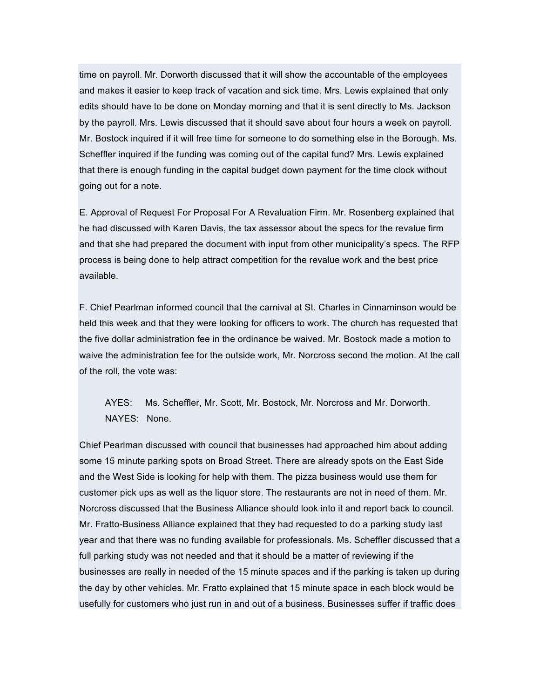time on payroll. Mr. Dorworth discussed that it will show the accountable of the employees and makes it easier to keep track of vacation and sick time. Mrs. Lewis explained that only edits should have to be done on Monday morning and that it is sent directly to Ms. Jackson by the payroll. Mrs. Lewis discussed that it should save about four hours a week on payroll. Mr. Bostock inquired if it will free time for someone to do something else in the Borough. Ms. Scheffler inquired if the funding was coming out of the capital fund? Mrs. Lewis explained that there is enough funding in the capital budget down payment for the time clock without going out for a note.

E. Approval of Request For Proposal For A Revaluation Firm. Mr. Rosenberg explained that he had discussed with Karen Davis, the tax assessor about the specs for the revalue firm and that she had prepared the document with input from other municipality's specs. The RFP process is being done to help attract competition for the revalue work and the best price available.

F. Chief Pearlman informed council that the carnival at St. Charles in Cinnaminson would be held this week and that they were looking for officers to work. The church has requested that the five dollar administration fee in the ordinance be waived. Mr. Bostock made a motion to waive the administration fee for the outside work, Mr. Norcross second the motion. At the call of the roll, the vote was:

AYES: Ms. Scheffler, Mr. Scott, Mr. Bostock, Mr. Norcross and Mr. Dorworth. NAYES: None.

Chief Pearlman discussed with council that businesses had approached him about adding some 15 minute parking spots on Broad Street. There are already spots on the East Side and the West Side is looking for help with them. The pizza business would use them for customer pick ups as well as the liquor store. The restaurants are not in need of them. Mr. Norcross discussed that the Business Alliance should look into it and report back to council. Mr. Fratto-Business Alliance explained that they had requested to do a parking study last year and that there was no funding available for professionals. Ms. Scheffler discussed that a full parking study was not needed and that it should be a matter of reviewing if the businesses are really in needed of the 15 minute spaces and if the parking is taken up during the day by other vehicles. Mr. Fratto explained that 15 minute space in each block would be usefully for customers who just run in and out of a business. Businesses suffer if traffic does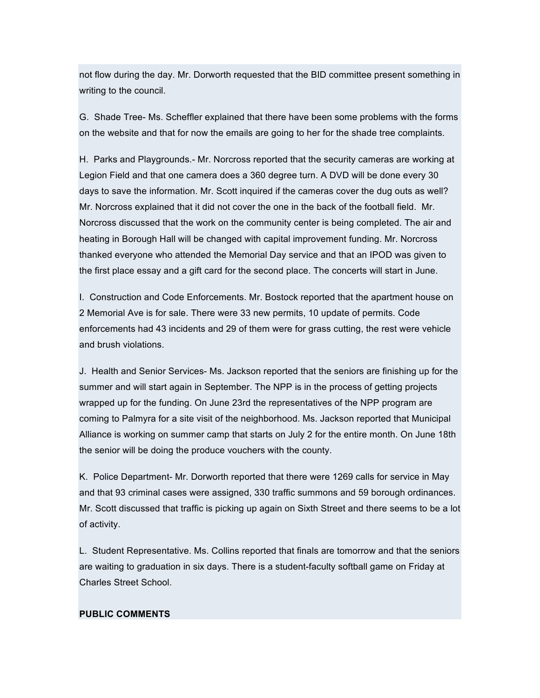not flow during the day. Mr. Dorworth requested that the BID committee present something in writing to the council.

G. Shade Tree- Ms. Scheffler explained that there have been some problems with the forms on the website and that for now the emails are going to her for the shade tree complaints.

H. Parks and Playgrounds.- Mr. Norcross reported that the security cameras are working at Legion Field and that one camera does a 360 degree turn. A DVD will be done every 30 days to save the information. Mr. Scott inquired if the cameras cover the dug outs as well? Mr. Norcross explained that it did not cover the one in the back of the football field. Mr. Norcross discussed that the work on the community center is being completed. The air and heating in Borough Hall will be changed with capital improvement funding. Mr. Norcross thanked everyone who attended the Memorial Day service and that an IPOD was given to the first place essay and a gift card for the second place. The concerts will start in June.

I. Construction and Code Enforcements. Mr. Bostock reported that the apartment house on 2 Memorial Ave is for sale. There were 33 new permits, 10 update of permits. Code enforcements had 43 incidents and 29 of them were for grass cutting, the rest were vehicle and brush violations.

J. Health and Senior Services- Ms. Jackson reported that the seniors are finishing up for the summer and will start again in September. The NPP is in the process of getting projects wrapped up for the funding. On June 23rd the representatives of the NPP program are coming to Palmyra for a site visit of the neighborhood. Ms. Jackson reported that Municipal Alliance is working on summer camp that starts on July 2 for the entire month. On June 18th the senior will be doing the produce vouchers with the county.

K. Police Department- Mr. Dorworth reported that there were 1269 calls for service in May and that 93 criminal cases were assigned, 330 traffic summons and 59 borough ordinances. Mr. Scott discussed that traffic is picking up again on Sixth Street and there seems to be a lot of activity.

L. Student Representative. Ms. Collins reported that finals are tomorrow and that the seniors are waiting to graduation in six days. There is a student-faculty softball game on Friday at Charles Street School.

#### **PUBLIC COMMENTS**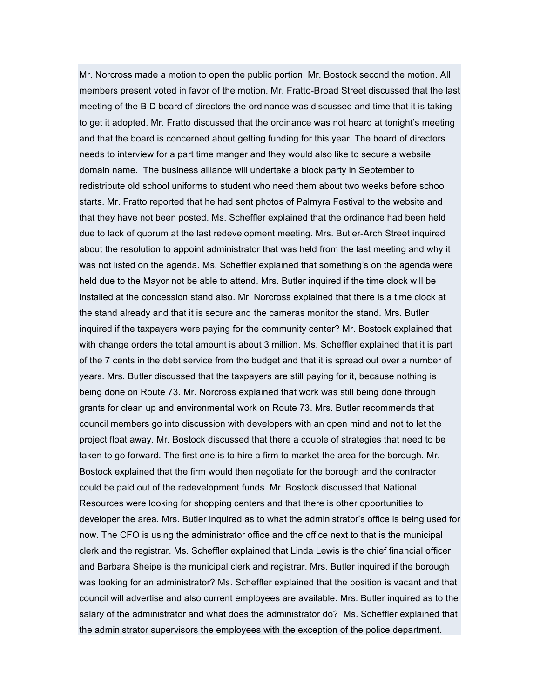Mr. Norcross made a motion to open the public portion, Mr. Bostock second the motion. All members present voted in favor of the motion. Mr. Fratto-Broad Street discussed that the last meeting of the BID board of directors the ordinance was discussed and time that it is taking to get it adopted. Mr. Fratto discussed that the ordinance was not heard at tonight's meeting and that the board is concerned about getting funding for this year. The board of directors needs to interview for a part time manger and they would also like to secure a website domain name. The business alliance will undertake a block party in September to redistribute old school uniforms to student who need them about two weeks before school starts. Mr. Fratto reported that he had sent photos of Palmyra Festival to the website and that they have not been posted. Ms. Scheffler explained that the ordinance had been held due to lack of quorum at the last redevelopment meeting. Mrs. Butler-Arch Street inquired about the resolution to appoint administrator that was held from the last meeting and why it was not listed on the agenda. Ms. Scheffler explained that something's on the agenda were held due to the Mayor not be able to attend. Mrs. Butler inquired if the time clock will be installed at the concession stand also. Mr. Norcross explained that there is a time clock at the stand already and that it is secure and the cameras monitor the stand. Mrs. Butler inquired if the taxpayers were paying for the community center? Mr. Bostock explained that with change orders the total amount is about 3 million. Ms. Scheffler explained that it is part of the 7 cents in the debt service from the budget and that it is spread out over a number of years. Mrs. Butler discussed that the taxpayers are still paying for it, because nothing is being done on Route 73. Mr. Norcross explained that work was still being done through grants for clean up and environmental work on Route 73. Mrs. Butler recommends that council members go into discussion with developers with an open mind and not to let the project float away. Mr. Bostock discussed that there a couple of strategies that need to be taken to go forward. The first one is to hire a firm to market the area for the borough. Mr. Bostock explained that the firm would then negotiate for the borough and the contractor could be paid out of the redevelopment funds. Mr. Bostock discussed that National Resources were looking for shopping centers and that there is other opportunities to developer the area. Mrs. Butler inquired as to what the administrator's office is being used for now. The CFO is using the administrator office and the office next to that is the municipal clerk and the registrar. Ms. Scheffler explained that Linda Lewis is the chief financial officer and Barbara Sheipe is the municipal clerk and registrar. Mrs. Butler inquired if the borough was looking for an administrator? Ms. Scheffler explained that the position is vacant and that council will advertise and also current employees are available. Mrs. Butler inquired as to the salary of the administrator and what does the administrator do? Ms. Scheffler explained that the administrator supervisors the employees with the exception of the police department.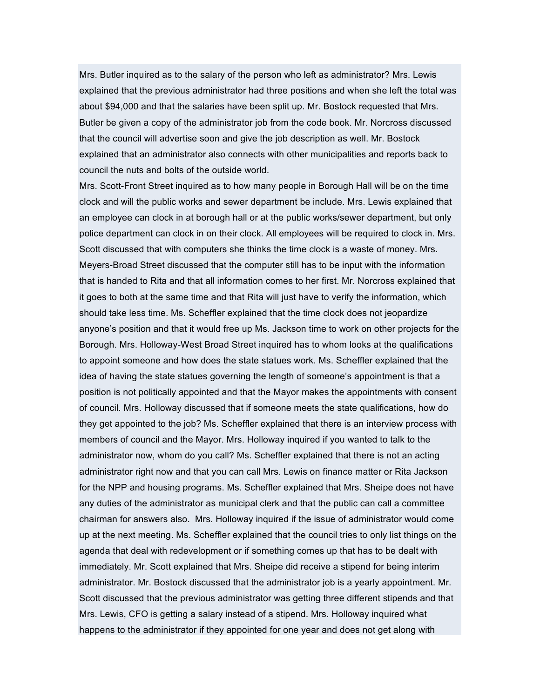Mrs. Butler inquired as to the salary of the person who left as administrator? Mrs. Lewis explained that the previous administrator had three positions and when she left the total was about \$94,000 and that the salaries have been split up. Mr. Bostock requested that Mrs. Butler be given a copy of the administrator job from the code book. Mr. Norcross discussed that the council will advertise soon and give the job description as well. Mr. Bostock explained that an administrator also connects with other municipalities and reports back to council the nuts and bolts of the outside world.

Mrs. Scott-Front Street inquired as to how many people in Borough Hall will be on the time clock and will the public works and sewer department be include. Mrs. Lewis explained that an employee can clock in at borough hall or at the public works/sewer department, but only police department can clock in on their clock. All employees will be required to clock in. Mrs. Scott discussed that with computers she thinks the time clock is a waste of money. Mrs. Meyers-Broad Street discussed that the computer still has to be input with the information that is handed to Rita and that all information comes to her first. Mr. Norcross explained that it goes to both at the same time and that Rita will just have to verify the information, which should take less time. Ms. Scheffler explained that the time clock does not jeopardize anyone's position and that it would free up Ms. Jackson time to work on other projects for the Borough. Mrs. Holloway-West Broad Street inquired has to whom looks at the qualifications to appoint someone and how does the state statues work. Ms. Scheffler explained that the idea of having the state statues governing the length of someone's appointment is that a position is not politically appointed and that the Mayor makes the appointments with consent of council. Mrs. Holloway discussed that if someone meets the state qualifications, how do they get appointed to the job? Ms. Scheffler explained that there is an interview process with members of council and the Mayor. Mrs. Holloway inquired if you wanted to talk to the administrator now, whom do you call? Ms. Scheffler explained that there is not an acting administrator right now and that you can call Mrs. Lewis on finance matter or Rita Jackson for the NPP and housing programs. Ms. Scheffler explained that Mrs. Sheipe does not have any duties of the administrator as municipal clerk and that the public can call a committee chairman for answers also. Mrs. Holloway inquired if the issue of administrator would come up at the next meeting. Ms. Scheffler explained that the council tries to only list things on the agenda that deal with redevelopment or if something comes up that has to be dealt with immediately. Mr. Scott explained that Mrs. Sheipe did receive a stipend for being interim administrator. Mr. Bostock discussed that the administrator job is a yearly appointment. Mr. Scott discussed that the previous administrator was getting three different stipends and that Mrs. Lewis, CFO is getting a salary instead of a stipend. Mrs. Holloway inquired what happens to the administrator if they appointed for one year and does not get along with